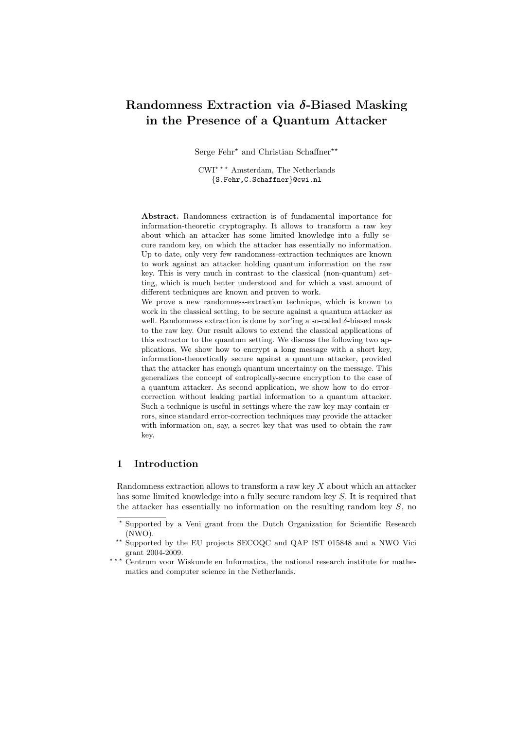# Randomness Extraction via  $\delta$ -Biased Masking in the Presence of a Quantum Attacker

Serge Fehr<sup>\*</sup> and Christian Schaffner<sup>\*\*</sup>

CWI? ? ? Amsterdam, The Netherlands {S.Fehr,C.Schaffner}@cwi.nl

Abstract. Randomness extraction is of fundamental importance for information-theoretic cryptography. It allows to transform a raw key about which an attacker has some limited knowledge into a fully secure random key, on which the attacker has essentially no information. Up to date, only very few randomness-extraction techniques are known to work against an attacker holding quantum information on the raw key. This is very much in contrast to the classical (non-quantum) setting, which is much better understood and for which a vast amount of different techniques are known and proven to work.

We prove a new randomness-extraction technique, which is known to work in the classical setting, to be secure against a quantum attacker as well. Randomness extraction is done by xor'ing a so-called  $\delta$ -biased mask to the raw key. Our result allows to extend the classical applications of this extractor to the quantum setting. We discuss the following two applications. We show how to encrypt a long message with a short key, information-theoretically secure against a quantum attacker, provided that the attacker has enough quantum uncertainty on the message. This generalizes the concept of entropically-secure encryption to the case of a quantum attacker. As second application, we show how to do errorcorrection without leaking partial information to a quantum attacker. Such a technique is useful in settings where the raw key may contain errors, since standard error-correction techniques may provide the attacker with information on, say, a secret key that was used to obtain the raw key.

# 1 Introduction

Randomness extraction allows to transform a raw key  $X$  about which an attacker has some limited knowledge into a fully secure random key S. It is required that the attacker has essentially no information on the resulting random key  $S$ , no

<sup>?</sup> Supported by a Veni grant from the Dutch Organization for Scientific Research (NWO).

<sup>\*\*</sup> Supported by the EU projects SECOQC and QAP IST 015848 and a NWO Vici grant 2004-2009.

<sup>\*\*\*</sup> Centrum voor Wiskunde en Informatica, the national research institute for mathematics and computer science in the Netherlands.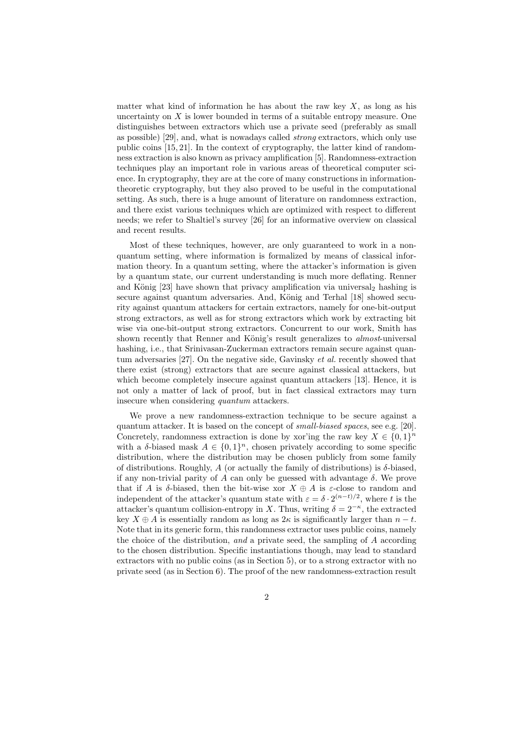matter what kind of information he has about the raw key  $X$ , as long as his uncertainty on  $X$  is lower bounded in terms of a suitable entropy measure. One distinguishes between extractors which use a private seed (preferably as small as possible) [29], and, what is nowadays called strong extractors, which only use public coins [15, 21]. In the context of cryptography, the latter kind of randomness extraction is also known as privacy amplification [5]. Randomness-extraction techniques play an important role in various areas of theoretical computer science. In cryptography, they are at the core of many constructions in informationtheoretic cryptography, but they also proved to be useful in the computational setting. As such, there is a huge amount of literature on randomness extraction, and there exist various techniques which are optimized with respect to different needs; we refer to Shaltiel's survey [26] for an informative overview on classical and recent results.

Most of these techniques, however, are only guaranteed to work in a nonquantum setting, where information is formalized by means of classical information theory. In a quantum setting, where the attacker's information is given by a quantum state, our current understanding is much more deflating. Renner and König [23] have shown that privacy amplification via universal, hashing is secure against quantum adversaries. And, König and Terhal [18] showed security against quantum attackers for certain extractors, namely for one-bit-output strong extractors, as well as for strong extractors which work by extracting bit wise via one-bit-output strong extractors. Concurrent to our work, Smith has shown recently that Renner and König's result generalizes to *almost*-universal hashing, i.e., that Srinivasan-Zuckerman extractors remain secure against quantum adversaries [27]. On the negative side, Gavinsky et al. recently showed that there exist (strong) extractors that are secure against classical attackers, but which become completely insecure against quantum attackers [13]. Hence, it is not only a matter of lack of proof, but in fact classical extractors may turn insecure when considering quantum attackers.

We prove a new randomness-extraction technique to be secure against a quantum attacker. It is based on the concept of small-biased spaces, see e.g. [20]. Concretely, randomness extraction is done by xor'ing the raw key  $X \in \{0,1\}^n$ with a  $\delta$ -biased mask  $A \in \{0,1\}^n$ , chosen privately according to some specific distribution, where the distribution may be chosen publicly from some family of distributions. Roughly,  $A$  (or actually the family of distributions) is  $\delta$ -biased, if any non-trivial parity of A can only be guessed with advantage  $\delta$ . We prove that if A is  $\delta$ -biased, then the bit-wise xor  $X \oplus A$  is  $\varepsilon$ -close to random and independent of the attacker's quantum state with  $\varepsilon = \delta \cdot 2^{(n-t)/2}$ , where t is the attacker's quantum collision-entropy in X. Thus, writing  $\delta = 2^{-\kappa}$ , the extracted key  $X \oplus A$  is essentially random as long as  $2\kappa$  is significantly larger than  $n - t$ . Note that in its generic form, this randomness extractor uses public coins, namely the choice of the distribution, and a private seed, the sampling of A according to the chosen distribution. Specific instantiations though, may lead to standard extractors with no public coins (as in Section 5), or to a strong extractor with no private seed (as in Section 6). The proof of the new randomness-extraction result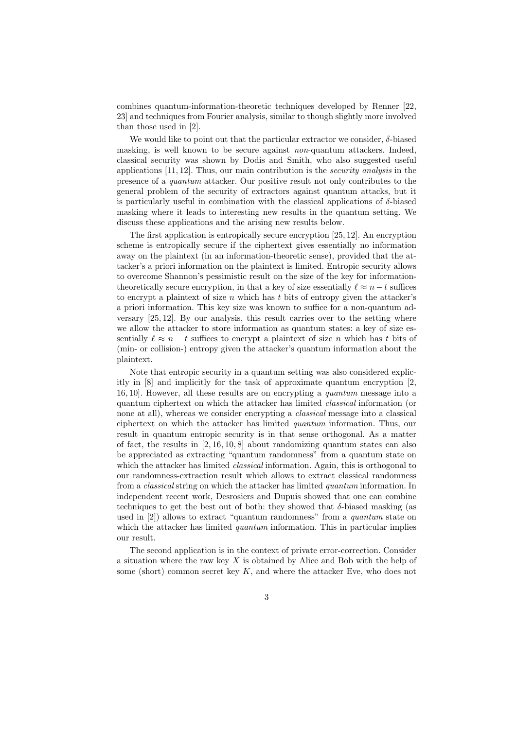combines quantum-information-theoretic techniques developed by Renner [22, 23] and techniques from Fourier analysis, similar to though slightly more involved than those used in [2].

We would like to point out that the particular extractor we consider,  $\delta$ -biased masking, is well known to be secure against *non*-quantum attackers. Indeed, classical security was shown by Dodis and Smith, who also suggested useful applications  $[11, 12]$ . Thus, our main contribution is the *security analysis* in the presence of a quantum attacker. Our positive result not only contributes to the general problem of the security of extractors against quantum attacks, but it is particularly useful in combination with the classical applications of  $\delta$ -biased masking where it leads to interesting new results in the quantum setting. We discuss these applications and the arising new results below.

The first application is entropically secure encryption [25, 12]. An encryption scheme is entropically secure if the ciphertext gives essentially no information away on the plaintext (in an information-theoretic sense), provided that the attacker's a priori information on the plaintext is limited. Entropic security allows to overcome Shannon's pessimistic result on the size of the key for informationtheoretically secure encryption, in that a key of size essentially  $\ell \approx n - t$  suffices to encrypt a plaintext of size  $n$  which has  $t$  bits of entropy given the attacker's a priori information. This key size was known to suffice for a non-quantum adversary [25, 12]. By our analysis, this result carries over to the setting where we allow the attacker to store information as quantum states: a key of size essentially  $\ell \approx n - t$  suffices to encrypt a plaintext of size n which has t bits of (min- or collision-) entropy given the attacker's quantum information about the plaintext.

Note that entropic security in a quantum setting was also considered explicitly in [8] and implicitly for the task of approximate quantum encryption [2, 16, 10]. However, all these results are on encrypting a quantum message into a quantum ciphertext on which the attacker has limited classical information (or none at all), whereas we consider encrypting a classical message into a classical ciphertext on which the attacker has limited quantum information. Thus, our result in quantum entropic security is in that sense orthogonal. As a matter of fact, the results in [2, 16, 10, 8] about randomizing quantum states can also be appreciated as extracting "quantum randomness" from a quantum state on which the attacker has limited *classical* information. Again, this is orthogonal to our randomness-extraction result which allows to extract classical randomness from a *classical* string on which the attacker has limited *quantum* information. In independent recent work, Desrosiers and Dupuis showed that one can combine techniques to get the best out of both: they showed that  $\delta$ -biased masking (as used in  $[2]$ ) allows to extract "quantum randomness" from a *quantum* state on which the attacker has limited *quantum* information. This in particular implies our result.

The second application is in the context of private error-correction. Consider a situation where the raw key  $X$  is obtained by Alice and Bob with the help of some (short) common secret key  $K$ , and where the attacker Eve, who does not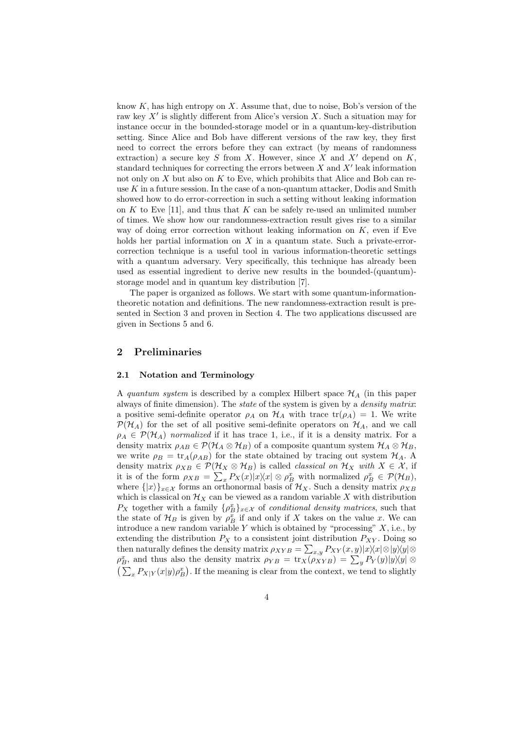know  $K$ , has high entropy on X. Assume that, due to noise, Bob's version of the raw key  $X'$  is slightly different from Alice's version  $X$ . Such a situation may for instance occur in the bounded-storage model or in a quantum-key-distribution setting. Since Alice and Bob have different versions of the raw key, they first need to correct the errors before they can extract (by means of randomness extraction) a secure key S from X. However, since X and X' depend on K, standard techniques for correcting the errors between  $X$  and  $X'$  leak information not only on  $X$  but also on  $K$  to Eve, which prohibits that Alice and Bob can reuse K in a future session. In the case of a non-quantum attacker, Dodis and Smith showed how to do error-correction in such a setting without leaking information on  $K$  to Eve [11], and thus that  $K$  can be safely re-used an unlimited number of times. We show how our randomness-extraction result gives rise to a similar way of doing error correction without leaking information on  $K$ , even if Eve holds her partial information on  $X$  in a quantum state. Such a private-errorcorrection technique is a useful tool in various information-theoretic settings with a quantum adversary. Very specifically, this technique has already been used as essential ingredient to derive new results in the bounded-(quantum) storage model and in quantum key distribution [7].

The paper is organized as follows. We start with some quantum-informationtheoretic notation and definitions. The new randomness-extraction result is presented in Section 3 and proven in Section 4. The two applications discussed are given in Sections 5 and 6.

# 2 Preliminaries

#### 2.1 Notation and Terminology

A quantum system is described by a complex Hilbert space  $\mathcal{H}_A$  (in this paper always of finite dimension). The state of the system is given by a density matrix: a positive semi-definite operator  $\rho_A$  on  $\mathcal{H}_A$  with trace  $tr(\rho_A) = 1$ . We write  $\mathcal{P}(\mathcal{H}_A)$  for the set of all positive semi-definite operators on  $\mathcal{H}_A$ , and we call  $\rho_A \in \mathcal{P}(\mathcal{H}_A)$  normalized if it has trace 1, i.e., if it is a density matrix. For a density matrix  $\rho_{AB} \in \mathcal{P}(\mathcal{H}_A \otimes \mathcal{H}_B)$  of a composite quantum system  $\mathcal{H}_A \otimes \mathcal{H}_B$ , we write  $\rho_B = \text{tr}_A(\rho_{AB})$  for the state obtained by tracing out system  $\mathcal{H}_A$ . A density matrix  $\rho_{XB} \in \mathcal{P}(\mathcal{H}_X \otimes \mathcal{H}_B)$  is called *classical on*  $\mathcal{H}_X$  with  $X \in \mathcal{X}$ , if it is of the form  $\rho_{XB} = \sum_x P_X(x)|x\rangle\langle x|\otimes \rho_B^x$  with normalized  $\rho_B^x \in \mathcal{P}(\mathcal{H}_B)$ , where  $\{|x\rangle\}_{x\in\mathcal{X}}$  forms an orthonormal basis of  $\mathcal{H}_X$ . Such a density matrix  $\rho_{XB}$ which is classical on  $\mathcal{H}_X$  can be viewed as a random variable X with distribution  $P_X$  together with a family  $\{\rho_B^x\}_{x \in \mathcal{X}}$  of *conditional density matrices*, such that the state of  $\mathcal{H}_B$  is given by  $\rho_B^x$  if and only if X takes on the value x. We can introduce a new random variable Y which is obtained by "processing"  $X$ , i.e., by extending the distribution  $P_X$  to a consistent joint distribution  $P_{XY}$ . Doing so then naturally defines the density matrix  $\rho_{XYB} = \sum_{x,y} P_{XY}(x,y) |x\rangle\langle x| \otimes |y\rangle\langle y| \otimes$  $\rho_B^x$ , and thus also the density matrix  $\rho_{YB} = \text{tr}_X(\rho_{XYB}) = \sum_y P_Y(y)|y\rangle\langle y|\otimes$  $\left(\sum_{x} P_{X|Y}(x|y)\rho_B^x\right)$ . If the meaning is clear from the context, we tend to slightly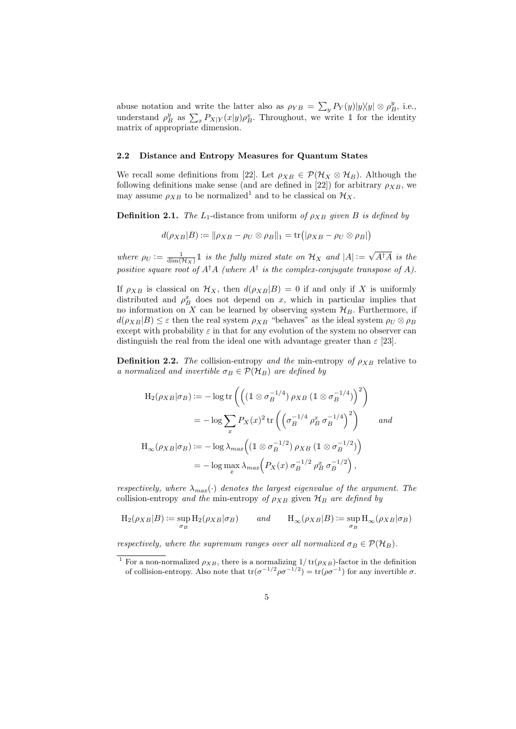abuse notation and write the latter also as  $\rho_{YB} = \sum_{y} P_Y(y) |y\rangle\langle y| \otimes \rho_B^y$ , i.e., understand  $\rho_B^y$  as  $\sum_x P_{X|Y}(x|y)\rho_B^x$ . Throughout, we write 1 for the identity matrix of appropriate dimension.

# 2.2 Distance and Entropy Measures for Quantum States

We recall some definitions from [22]. Let  $\rho_{XB} \in \mathcal{P}(\mathcal{H}_X \otimes \mathcal{H}_B)$ . Although the following definitions make sense (and are defined in [22]) for arbitrary  $\rho_{XB}$ , we may assume  $\rho_{XB}$  to be normalized<sup>1</sup> and to be classical on  $\mathcal{H}_X$ .

**Definition 2.1.** The L<sub>1</sub>-distance from uniform of  $\rho_{XB}$  given B is defined by

$$
d(\rho_{XB}|B) \coloneqq \|\rho_{XB} - \rho_U \otimes \rho_B\|_1 = \text{tr}(|\rho_{XB} - \rho_U \otimes \rho_B|)
$$

where  $\rho_U := \frac{1}{\dim(\mathcal{H}_X)} \mathbb{1}$  is the fully mixed state on  $\mathcal{H}_X$  and  $|A| := \sqrt{2}$  $A^{\dagger}A$  is the positive square root of  $A^{\dagger}A$  (where  $A^{\dagger}$  is the complex-conjugate transpose of A).

If  $\rho_{XB}$  is classical on  $\mathcal{H}_X$ , then  $d(\rho_{XB}|B) = 0$  if and only if X is uniformly distributed and  $\rho_B^x$  does not depend on x, which in particular implies that no information on X can be learned by observing system  $\mathcal{H}_B$ . Furthermore, if  $d(\rho_{XB}|B) \leq \varepsilon$  then the real system  $\rho_{XB}$  "behaves" as the ideal system  $\rho_U \otimes \rho_B$ except with probability  $\varepsilon$  in that for any evolution of the system no observer can distinguish the real from the ideal one with advantage greater than  $\varepsilon$  [23].

**Definition 2.2.** The collision-entropy and the min-entropy of  $\rho_{XB}$  relative to a normalized and invertible  $\sigma_B \in \mathcal{P}(\mathcal{H}_B)$  are defined by

$$
H_2(\rho_{XB}|\sigma_B) := -\log \text{tr}\left(\left((\mathbb{1} \otimes \sigma_B^{-1/4}) \rho_{XB} (\mathbb{1} \otimes \sigma_B^{-1/4})\right)^2\right)
$$
  

$$
= -\log \sum_x P_X(x)^2 \text{tr}\left(\left(\sigma_B^{-1/4} \rho_B^x \sigma_B^{-1/4}\right)^2\right) \quad \text{and}
$$
  

$$
H_{\infty}(\rho_{XB}|\sigma_B) := -\log \lambda_{max}\left((\mathbb{1} \otimes \sigma_B^{-1/2}) \rho_{XB} (\mathbb{1} \otimes \sigma_B^{-1/2})\right)
$$
  

$$
= -\log \max_x \lambda_{max}\left(P_X(x) \sigma_B^{-1/2} \rho_B^x \sigma_B^{-1/2}\right),
$$

respectively, where  $\lambda_{max}(\cdot)$  denotes the largest eigenvalue of the argument. The collision-entropy and the min-entropy of  $\rho_{XB}$  given  $\mathcal{H}_B$  are defined by

$$
H_2(\rho_{XB}|B) := \sup_{\sigma_B} H_2(\rho_{XB}|\sigma_B) \quad and \quad H_{\infty}(\rho_{XB}|B) := \sup_{\sigma_B} H_{\infty}(\rho_{XB}|\sigma_B)
$$

respectively, where the supremum ranges over all normalized  $\sigma_B \in \mathcal{P}(\mathcal{H}_B)$ .

<sup>&</sup>lt;sup>1</sup> For a non-normalized  $\rho_{XB}$ , there is a normalizing  $1/\text{tr}(\rho_{XB})$ -factor in the definition of collision-entropy. Also note that  $tr(\sigma^{-1/2}\rho\sigma^{-1/2}) = tr(\rho\sigma^{-1})$  for any invertible σ.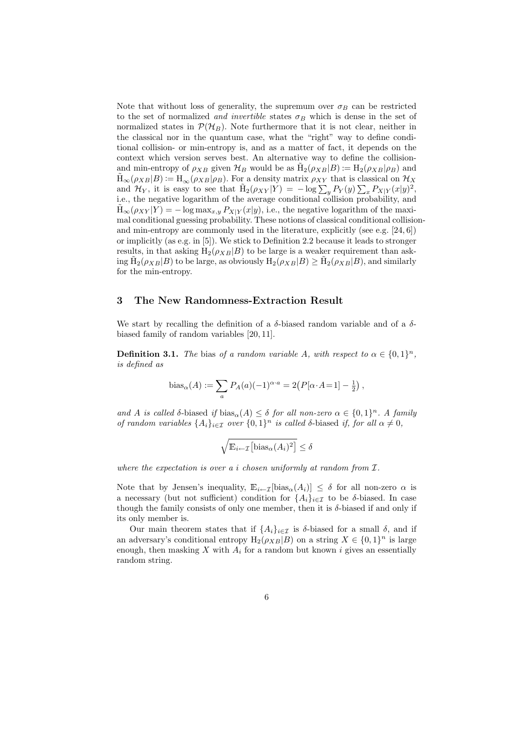Note that without loss of generality, the supremum over  $\sigma_B$  can be restricted to the set of normalized *and invertible* states  $\sigma_B$  which is dense in the set of normalized states in  $\mathcal{P}(\mathcal{H}_B)$ . Note furthermore that it is not clear, neither in the classical nor in the quantum case, what the "right" way to define conditional collision- or min-entropy is, and as a matter of fact, it depends on the context which version serves best. An alternative way to define the collisionand min-entropy of  $\rho_{XB}$  given  $\mathcal{H}_B$  would be as  $\tilde{H}_2(\rho_{XB}|B) := H_2(\rho_{XB}|\rho_B)$  and  $\tilde{H}_{\infty}(\rho_{XB}|B) := H_{\infty}(\rho_{XB}|\rho_B)$ . For a density matrix  $\rho_{XY}$  that is classical on  $\mathcal{H}_X$ and  $\mathcal{H}_Y$ , it is easy to see that  $\tilde{H}_2(\rho_{XY}|Y) = -\log \sum_y P_Y(y) \sum_x P_{X|Y}(x|y)^2$ , i.e., the negative logarithm of the average conditional collision probability, and  $\tilde{H}_{\infty}(\rho_{XY}|Y) = -\log \max_{x,y} P_{X|Y}(x|y)$ , i.e., the negative logarithm of the maximal conditional guessing probability. These notions of classical conditional collisionand min-entropy are commonly used in the literature, explicitly (see e.g.  $[24, 6]$ ) or implicitly (as e.g. in [5]). We stick to Definition 2.2 because it leads to stronger results, in that asking  $H_2(\rho_{XB}|B)$  to be large is a weaker requirement than ask- $\text{ing } \tilde{\text{H}}_2(\rho_{XB}|B)$  to be large, as obviously  $\text{H}_2(\rho_{XB}|B) \geq \tilde{\text{H}}_2(\rho_{XB}|B)$ , and similarly for the min-entropy.

#### 3 The New Randomness-Extraction Result

We start by recalling the definition of a  $\delta$ -biased random variable and of a  $\delta$ biased family of random variables [20, 11].

**Definition 3.1.** The bias of a random variable A, with respect to  $\alpha \in \{0,1\}^n$ , is defined as

bias<sub>$$
\alpha
$$</sub>(A) :=  $\sum_a P_A(a)(-1)^{\alpha \cdot a} = 2(P[\alpha \cdot A = 1] - \frac{1}{2}),$ 

and A is called  $\delta$ -biased if  $bias_{\alpha}(A) \leq \delta$  for all non-zero  $\alpha \in \{0,1\}^n$ . A family of random variables  $\{A_i\}_{i\in\mathcal{I}}$  over  $\{0,1\}^n$  is called  $\delta$ -biased if, for all  $\alpha \neq 0$ ,

$$
\sqrt{\mathbb{E}_{i \leftarrow \mathcal{I}} \left[ \text{bias}_{\alpha}(A_i)^2 \right]} \le \delta
$$

where the expectation is over a *i* chosen uniformly at random from  $I$ .

Note that by Jensen's inequality,  $\mathbb{E}_{i\leftarrow \mathcal{I}}[\text{bias}_{\alpha}(A_i)] \leq \delta$  for all non-zero  $\alpha$  is a necessary (but not sufficient) condition for  $\{A_i\}_{i\in\mathcal{I}}$  to be  $\delta$ -biased. In case though the family consists of only one member, then it is  $\delta$ -biased if and only if its only member is.

Our main theorem states that if  $\{A_i\}_{i\in\mathcal{I}}$  is  $\delta$ -biased for a small  $\delta$ , and if an adversary's conditional entropy  $H_2(\rho_{XB}|B)$  on a string  $X \in \{0,1\}^n$  is large enough, then masking  $X$  with  $A_i$  for a random but known i gives an essentially random string.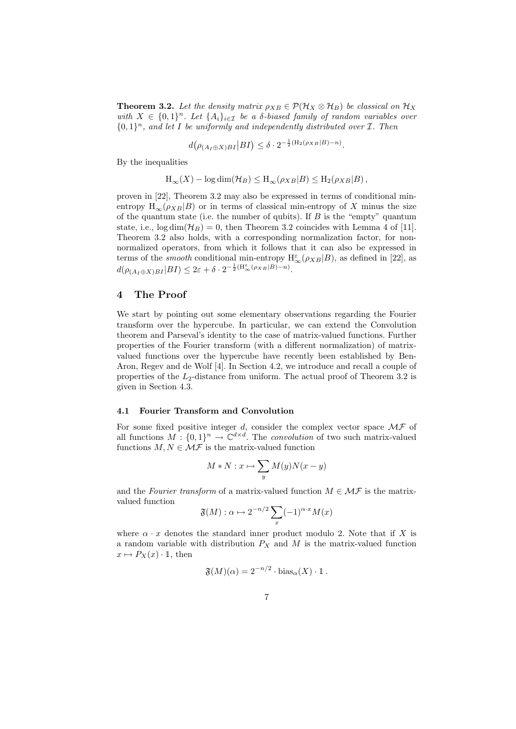**Theorem 3.2.** Let the density matrix  $\rho_{XB} \in \mathcal{P}(\mathcal{H}_X \otimes \mathcal{H}_B)$  be classical on  $\mathcal{H}_X$ with  $X \in \{0,1\}^n$ . Let  $\{A_i\}_{i\in\mathcal{I}}$  be a  $\delta$ -biased family of random variables over  ${0,1}<sup>n</sup>$ , and let I be uniformly and independently distributed over *I*. Then

$$
d(\rho_{(A_I \oplus X)BI} \big| BI \big) \le \delta \cdot 2^{-\frac{1}{2}(\text{H}_2(\rho_{XB}|B) - n)}.
$$

By the inequalities

$$
H_{\infty}(X) - \log \dim(\mathcal{H}_B) \le H_{\infty}(\rho_{XB}|B) \le H_2(\rho_{XB}|B),
$$

proven in [22], Theorem 3.2 may also be expressed in terms of conditional minentropy  $H_{\infty}(\rho_{XB}|B)$  or in terms of classical min-entropy of X minus the size of the quantum state (i.e. the number of qubits). If  $B$  is the "empty" quantum state, i.e.,  $\log \dim(\mathcal{H}_B) = 0$ , then Theorem 3.2 coincides with Lemma 4 of [11]. Theorem 3.2 also holds, with a corresponding normalization factor, for nonnormalized operators, from which it follows that it can also be expressed in terms of the *smooth* conditional min-entropy  $H_{\infty}^{\varepsilon}(\rho_{XB}|B)$ , as defined in [22], as  $d(\rho_{(A_I \oplus X)BI} |BI) \leq 2\varepsilon + \delta \cdot 2^{-\frac{1}{2}(\mathrm{H}^{\varepsilon}_{\infty}(\rho_{XB}|B) - n)}.$ 

# 4 The Proof

We start by pointing out some elementary observations regarding the Fourier transform over the hypercube. In particular, we can extend the Convolution theorem and Parseval's identity to the case of matrix-valued functions. Further properties of the Fourier transform (with a different normalization) of matrixvalued functions over the hypercube have recently been established by Ben-Aron, Regev and de Wolf [4]. In Section 4.2, we introduce and recall a couple of properties of the  $L_2$ -distance from uniform. The actual proof of Theorem 3.2 is given in Section 4.3.

# 4.1 Fourier Transform and Convolution

For some fixed positive integer d, consider the complex vector space  $\mathcal{MF}$  of all functions  $M: \{0,1\}^n \to \mathbb{C}^{d \times d}$ . The *convolution* of two such matrix-valued functions  $M, N \in \mathcal{MF}$  is the matrix-valued function

$$
M * N : x \mapsto \sum_{y} M(y)N(x - y)
$$

and the Fourier transform of a matrix-valued function  $M \in \mathcal{MF}$  is the matrixvalued function

$$
\mathfrak{F}(M): \alpha \mapsto 2^{-n/2} \sum_{x} (-1)^{\alpha \cdot x} M(x)
$$

where  $\alpha \cdot x$  denotes the standard inner product modulo 2. Note that if X is a random variable with distribution  $P_X$  and M is the matrix-valued function  $x \mapsto P_X(x) \cdot \mathbb{1}$ , then

$$
\mathfrak{F}(M)(\alpha) = 2^{-n/2} \cdot \text{bias}_{\alpha}(X) \cdot 1.
$$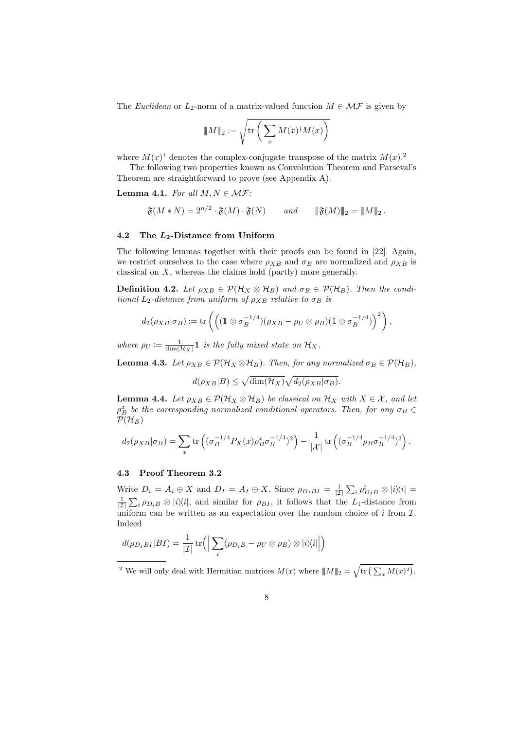The Euclidean or  $L_2$ -norm of a matrix-valued function  $M \in \mathcal{MF}$  is given by

$$
\|M\|_2 := \sqrt{\text{tr}\left(\sum_x M(x)^\dagger M(x)\right)}
$$

where  $M(x)$ <sup>†</sup> denotes the complex-conjugate transpose of the matrix  $M(x)$ <sup>2</sup>

The following two properties known as Convolution Theorem and Parseval's Theorem are straightforward to prove (see Appendix A).

Lemma 4.1. For all  $M, N \in \mathcal{MF}$ :

$$
\mathfrak{F}(M*N) = 2^{n/2} \cdot \mathfrak{F}(M) \cdot \mathfrak{F}(N) \quad \text{and} \quad \|\mathfrak{F}(M)\|_2 = \|M\|_2.
$$

#### 4.2 The  $L_2$ -Distance from Uniform

The following lemmas together with their proofs can be found in [22]. Again, we restrict ourselves to the case where  $\rho_{XB}$  and  $\sigma_B$  are normalized and  $\rho_{XB}$  is classical on  $X$ , whereas the claims hold (partly) more generally.

**Definition 4.2.** Let  $\rho_{XB} \in \mathcal{P}(\mathcal{H}_X \otimes \mathcal{H}_B)$  and  $\sigma_B \in \mathcal{P}(\mathcal{H}_B)$ . Then the conditional  $L_2$ -distance from uniform of  $\rho_{XB}$  relative to  $\sigma_B$  is

$$
d_2(\rho_{XB}|\sigma_B) \coloneqq \text{tr}\left(\left((\mathbb{1} \otimes \sigma_B^{-1/4})(\rho_{XB}-\rho_U \otimes \rho_B)(\mathbb{1} \otimes \sigma_B^{-1/4})\right)^2\right),
$$

where  $\rho_U := \frac{1}{\dim(\mathcal{H}_X)} \mathbb{1}$  is the fully mixed state on  $\mathcal{H}_X$ .

**Lemma 4.3.** Let  $\rho_{XB} \in \mathcal{P}(\mathcal{H}_X \otimes \mathcal{H}_B)$ . Then, for any normalized  $\sigma_B \in \mathcal{P}(\mathcal{H}_B)$ ,

$$
d(\rho_{XB}|B) \le \sqrt{\dim(\mathcal{H}_X)} \sqrt{d_2(\rho_{XB}|\sigma_B)}.
$$

**Lemma 4.4.** Let  $\rho_{XB} \in \mathcal{P}(\mathcal{H}_X \otimes \mathcal{H}_B)$  be classical on  $\mathcal{H}_X$  with  $X \in \mathcal{X}$ , and let  $\rho_B^x$  be the corresponding normalized conditional operators. Then, for any  $\sigma_B \in$  $\mathcal{P}(\mathcal{H}_B)$ 

$$
d_2(\rho_{XB}|\sigma_B) = \sum_x \text{tr}\left( (\sigma_B^{-1/4} P_X(x) \rho_B^x \sigma_B^{-1/4})^2 \right) - \frac{1}{|\mathcal{X}|} \text{tr}\left( (\sigma_B^{-1/4} \rho_B \sigma_B^{-1/4})^2 \right).
$$

#### 4.3 Proof Theorem 3.2

Write  $D_i = A_i \oplus X$  and  $D_I = A_I \oplus X$ . Since  $\rho_{D_IBI} = \frac{1}{|I|} \sum_i \rho_{D_IB}^i \otimes |i\rangle\langle i| =$  $\frac{1}{|\mathcal{I}|}\sum_i \rho_{D_i B} \otimes |i\rangle\langle i|$ , and similar for  $\rho_{BI}$ , it follows that the L<sub>1</sub>-distance from uniform can be written as an expectation over the random choice of  $i$  from  $I$ . Indeed

$$
d(\rho_{D_I B I} | B I) = \frac{1}{|\mathcal{I}|} tr \left( \left| \sum_i (\rho_{D_i B} - \rho_U \otimes \rho_B) \otimes |i \rangle \langle i| \right| \right)
$$

<sup>2</sup> We will only deal with Hermitian matrices  $M(x)$  where  $||M||_2 = \sqrt{\text{tr}(\sum_x M(x)^2)}$ .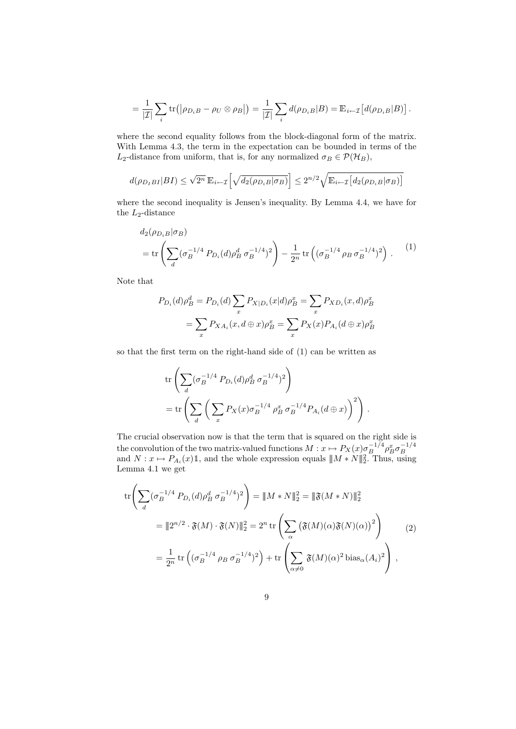$$
= \frac{1}{|\mathcal{I}|} \sum_i \text{tr}(|\rho_{D_iB} - \rho_U \otimes \rho_B|) = \frac{1}{|\mathcal{I}|} \sum_i d(\rho_{D_iB}|B) = \mathbb{E}_{i \leftarrow \mathcal{I}}[d(\rho_{D_iB}|B)].
$$

where the second equality follows from the block-diagonal form of the matrix. With Lemma 4.3, the term in the expectation can be bounded in terms of the  $L_2$ -distance from uniform, that is, for any normalized  $\sigma_B \in \mathcal{P}(\mathcal{H}_B)$ ,

$$
d(\rho_{D_IBI}|BI) \le \sqrt{2^n} \mathbb{E}_{i \leftarrow \mathcal{I}} \left[ \sqrt{d_2(\rho_{D_iB}|\sigma_B)} \right] \le 2^{n/2} \sqrt{\mathbb{E}_{i \leftarrow \mathcal{I}} \left[ d_2(\rho_{D_iB}|\sigma_B) \right]}
$$

where the second inequality is Jensen's inequality. By Lemma 4.4, we have for the  $L_2$ -distance

$$
d_2(\rho_{D_i B} | \sigma_B) = \text{tr}\left(\sum_d (\sigma_B^{-1/4} P_{D_i}(d)\rho_B^d \sigma_B^{-1/4})^2\right) - \frac{1}{2^n} \text{tr}\left((\sigma_B^{-1/4} \rho_B \sigma_B^{-1/4})^2\right). \tag{1}
$$

Note that

$$
P_{D_i}(d)\rho_B^d = P_{D_i}(d) \sum_x P_{X|D_i}(x|d)\rho_B^x = \sum_x P_{XD_i}(x,d)\rho_B^x
$$

$$
= \sum_x P_{XA_i}(x,d \oplus x)\rho_B^x = \sum_x P_X(x)P_{A_i}(d \oplus x)\rho_B^x
$$

so that the first term on the right-hand side of (1) can be written as

$$
\operatorname{tr}\left(\sum_{d}(\sigma_B^{-1/4} P_{D_i}(d)\rho_B^d \sigma_B^{-1/4})^2\right) = \operatorname{tr}\left(\sum_{d}\left(\sum_{x} P_X(x)\sigma_B^{-1/4} \rho_B^x \sigma_B^{-1/4} P_{A_i}(d \oplus x)\right)^2\right).
$$

The crucial observation now is that the term that is squared on the right side is the convolution of the two matrix-valued functions  $M: x \mapsto P_X(x) \sigma_B^{-1/4} \rho_B^x \sigma_B^{-1/4}$ and  $N: x \mapsto P_{A_i}(x) \mathbb{1}$ , and the whole expression equals  $||M * N||_2^2$ . Thus, using Lemma 4.1 we get

$$
\operatorname{tr}\left(\sum_{d} (\sigma_B^{-1/4} P_{D_i}(d)\rho_B^d \sigma_B^{-1/4})^2\right) = \|M*N\|_2^2 = \|\mathfrak{F}(M*N)\|_2^2
$$
  
= 
$$
\|2^{n/2} \cdot \mathfrak{F}(M) \cdot \mathfrak{F}(N)\|_2^2 = 2^n \operatorname{tr}\left(\sum_{\alpha} \left(\mathfrak{F}(M)(\alpha)\mathfrak{F}(N)(\alpha)\right)^2\right)
$$
  
= 
$$
\frac{1}{2^n} \operatorname{tr}\left((\sigma_B^{-1/4} \rho_B \sigma_B^{-1/4})^2\right) + \operatorname{tr}\left(\sum_{\alpha \neq 0} \mathfrak{F}(M)(\alpha)^2 \operatorname{bias}_{\alpha}(A_i)^2\right),
$$
 (2)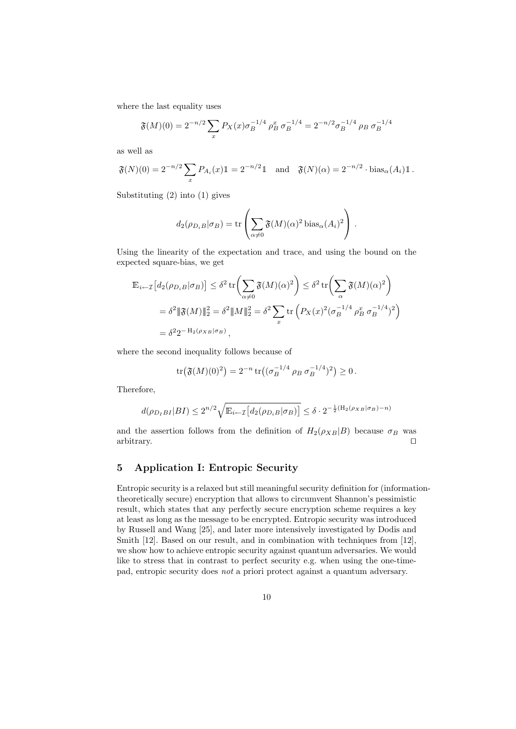where the last equality uses

$$
\mathfrak{F}(M)(0) = 2^{-n/2} \sum_{x} P_X(x) \sigma_B^{-1/4} \rho_B^x \sigma_B^{-1/4} = 2^{-n/2} \sigma_B^{-1/4} \rho_B \sigma_B^{-1/4}
$$

as well as

$$
\mathfrak{F}(N)(0) = 2^{-n/2} \sum_{x} P_{A_i}(x) \mathbb{1} = 2^{-n/2} \mathbb{1} \text{ and } \mathfrak{F}(N)(\alpha) = 2^{-n/2} \cdot \text{bias}_{\alpha}(A_i) \mathbb{1}.
$$

Substituting (2) into (1) gives

$$
d_2(\rho_{D_iB}|\sigma_B) = \text{tr}\left(\sum_{\alpha \neq 0} \mathfrak{F}(M)(\alpha)^2 \text{ bias}_{\alpha}(A_i)^2\right).
$$

Using the linearity of the expectation and trace, and using the bound on the expected square-bias, we get

$$
\mathbb{E}_{i \leftarrow \mathcal{I}} \left[ d_2(\rho_{D_i B} | \sigma_B) \right] \leq \delta^2 \operatorname{tr} \left( \sum_{\alpha \neq 0} \mathfrak{F}(M)(\alpha)^2 \right) \leq \delta^2 \operatorname{tr} \left( \sum_{\alpha} \mathfrak{F}(M)(\alpha)^2 \right)
$$
  
=  $\delta^2 \| \mathfrak{F}(M) \|_2^2 = \delta^2 \| M \|_2^2 = \delta^2 \sum_x \operatorname{tr} \left( P_X(x)^2 (\sigma_B^{-1/4} \rho_B^x \sigma_B^{-1/4})^2 \right)$   
=  $\delta^2 2^{-\operatorname{H}_2(\rho_{XB} | \sigma_B)},$ 

where the second inequality follows because of

$$
\text{tr}\big(\mathfrak{F}(M)(0)^2\big) = 2^{-n} \text{tr}\big((\sigma_B^{-1/4} \rho_B \,\sigma_B^{-1/4})^2\big) \ge 0\,.
$$

Therefore,

$$
d(\rho_{D_I B I} | B I) \le 2^{n/2} \sqrt{\mathbb{E}_{i \leftarrow \mathcal{I}} \left[ d_2(\rho_{D_i B} | \sigma_B) \right]} \le \delta \cdot 2^{-\frac{1}{2} (\mathcal{H}_2(\rho_{X B} | \sigma_B) - n)}
$$

and the assertion follows from the definition of  $H_2(\rho_{XB}|B)$  because  $\sigma_B$  was arbitrary.  $\Box$ 

# 5 Application I: Entropic Security

Entropic security is a relaxed but still meaningful security definition for (informationtheoretically secure) encryption that allows to circumvent Shannon's pessimistic result, which states that any perfectly secure encryption scheme requires a key at least as long as the message to be encrypted. Entropic security was introduced by Russell and Wang [25], and later more intensively investigated by Dodis and Smith [12]. Based on our result, and in combination with techniques from [12], we show how to achieve entropic security against quantum adversaries. We would like to stress that in contrast to perfect security e.g. when using the one-timepad, entropic security does not a priori protect against a quantum adversary.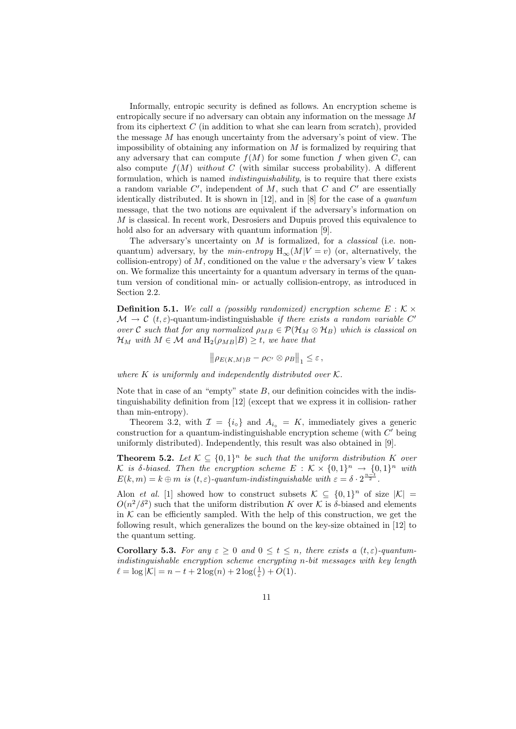Informally, entropic security is defined as follows. An encryption scheme is entropically secure if no adversary can obtain any information on the message M from its ciphertext  $C$  (in addition to what she can learn from scratch), provided the message  $M$  has enough uncertainty from the adversary's point of view. The impossibility of obtaining any information on  $M$  is formalized by requiring that any adversary that can compute  $f(M)$  for some function f when given C, can also compute  $f(M)$  without C (with similar success probability). A different formulation, which is named *indistinguishability*, is to require that there exists a random variable  $C'$ , independent of  $M$ , such that  $C$  and  $C'$  are essentially identically distributed. It is shown in [12], and in [8] for the case of a quantum message, that the two notions are equivalent if the adversary's information on M is classical. In recent work, Desrosiers and Dupuis proved this equivalence to hold also for an adversary with quantum information [9].

The adversary's uncertainty on  $M$  is formalized, for a *classical* (i.e. nonquantum) adversary, by the *min-entropy*  $H_{\infty}(M|V=v)$  (or, alternatively, the collision-entropy) of M, conditioned on the value v the adversary's view V takes on. We formalize this uncertainty for a quantum adversary in terms of the quantum version of conditional min- or actually collision-entropy, as introduced in Section 2.2.

**Definition 5.1.** We call a (possibly randomized) encryption scheme  $E : K \times$  $\mathcal{M} \to \mathcal{C}$  (*t*,  $\varepsilon$ )-quantum-indistinguishable *if there exists a random variable C'* over C such that for any normalized  $\rho_{MB} \in \mathcal{P}(\mathcal{H}_M \otimes \mathcal{H}_B)$  which is classical on  $\mathcal{H}_M$  with  $M \in \mathcal{M}$  and  $H_2(\rho_{MB}|B) \geq t$ , we have that

$$
\left\|\rho_{E(K,M)B} - \rho_{C'} \otimes \rho_B\right\|_1 \leq \varepsilon,
$$

where  $K$  is uniformly and independently distributed over  $\mathcal{K}$ .

Note that in case of an "empty" state  $B$ , our definition coincides with the indistinguishability definition from [12] (except that we express it in collision- rather than min-entropy).

Theorem 3.2, with  $\mathcal{I} = \{i_{\circ}\}\$ and  $A_{i_{\circ}} = K$ , immediately gives a generic construction for a quantum-indistinguishable encryption scheme (with  $C'$  being uniformly distributed). Independently, this result was also obtained in [9].

**Theorem 5.2.** Let  $K \subseteq \{0,1\}^n$  be such that the uniform distribution K over K is  $\delta$ -biased. Then the encryption scheme  $E : \mathcal{K} \times \{0,1\}^n \to \{0,1\}^n$  with  $E(k,m) = k \oplus m$  is  $(t, \varepsilon)$ -quantum-indistinguishable with  $\varepsilon = \delta \cdot 2^{\frac{n-1}{2}}$ .

Alon *et al.* [1] showed how to construct subsets  $K \subseteq \{0,1\}^n$  of size  $|K|$  =  $O(n^2/\delta^2)$  such that the uniform distribution K over K is  $\delta$ -biased and elements in  $K$  can be efficiently sampled. With the help of this construction, we get the following result, which generalizes the bound on the key-size obtained in [12] to the quantum setting.

Corollary 5.3. For any  $\varepsilon \geq 0$  and  $0 \leq t \leq n$ , there exists a  $(t, \varepsilon)$ -quantum $indistinguishable\ encryption\ scheme\ encryption\ n-bit\ messages\ with\ key\ length$  $\ell = \log |\mathcal{K}| = n - t + 2 \log(n) + 2 \log(\frac{1}{\varepsilon}) + O(1).$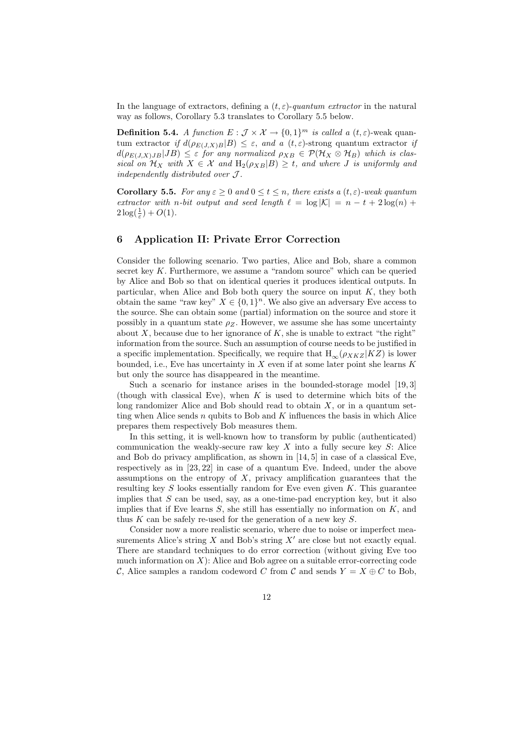In the language of extractors, defining a  $(t, \varepsilon)$ -quantum extractor in the natural way as follows, Corollary 5.3 translates to Corollary 5.5 below.

**Definition 5.4.** A function  $E: \mathcal{J} \times \mathcal{X} \to \{0,1\}^m$  is called a  $(t, \varepsilon)$ -weak quantum extractor if  $d(\rho_{E(J,X)B}|B) \leq \varepsilon$ , and a  $(t,\varepsilon)$ -strong quantum extractor if  $d(\rho_{E(J,X)JB}|JB) \leq \varepsilon$  for any normalized  $\rho_{XB} \in \mathcal{P}(\mathcal{H}_X \otimes \mathcal{H}_B)$  which is classical on  $\mathcal{H}_X$  with  $X \in \mathcal{X}$  and  $H_2(\rho_{XB}|B) \geq t$ , and where J is uniformly and independently distributed over  $\mathcal{J}.$ 

**Corollary 5.5.** For any  $\varepsilon \geq 0$  and  $0 \leq t \leq n$ , there exists a  $(t, \varepsilon)$ -weak quantum extractor with n-bit output and seed length  $\ell = \log |\mathcal{K}| = n - t + 2 \log(n) +$  $2\log(\frac{1}{\varepsilon})+O(1).$ 

# 6 Application II: Private Error Correction

Consider the following scenario. Two parties, Alice and Bob, share a common secret key  $K$ . Furthermore, we assume a "random source" which can be queried by Alice and Bob so that on identical queries it produces identical outputs. In particular, when Alice and Bob both query the source on input  $K$ , they both obtain the same "raw key"  $X \in \{0,1\}^n$ . We also give an adversary Eve access to the source. She can obtain some (partial) information on the source and store it possibly in a quantum state  $\rho_Z$ . However, we assume she has some uncertainty about X, because due to her ignorance of  $K$ , she is unable to extract "the right" information from the source. Such an assumption of course needs to be justified in a specific implementation. Specifically, we require that  $H_{\infty}(\rho_{XKZ}|KZ)$  is lower bounded, i.e., Eve has uncertainty in  $X$  even if at some later point she learns  $K$ but only the source has disappeared in the meantime.

Such a scenario for instance arises in the bounded-storage model [19,3] (though with classical Eve), when  $K$  is used to determine which bits of the long randomizer Alice and Bob should read to obtain  $X$ , or in a quantum setting when Alice sends  $n$  qubits to Bob and  $K$  influences the basis in which Alice prepares them respectively Bob measures them.

In this setting, it is well-known how to transform by public (authenticated) communication the weakly-secure raw key  $X$  into a fully secure key  $S$ : Alice and Bob do privacy amplification, as shown in [14, 5] in case of a classical Eve, respectively as in [23, 22] in case of a quantum Eve. Indeed, under the above assumptions on the entropy of  $X$ , privacy amplification guarantees that the resulting key  $S$  looks essentially random for Eve even given  $K$ . This guarantee implies that  $S$  can be used, say, as a one-time-pad encryption key, but it also implies that if Eve learns  $S$ , she still has essentially no information on  $K$ , and thus  $K$  can be safely re-used for the generation of a new key  $S$ .

Consider now a more realistic scenario, where due to noise or imperfect measurements Alice's string X and Bob's string  $X'$  are close but not exactly equal. There are standard techniques to do error correction (without giving Eve too much information on  $X$ ): Alice and Bob agree on a suitable error-correcting code C, Alice samples a random codeword C from C and sends  $Y = X \oplus C$  to Bob,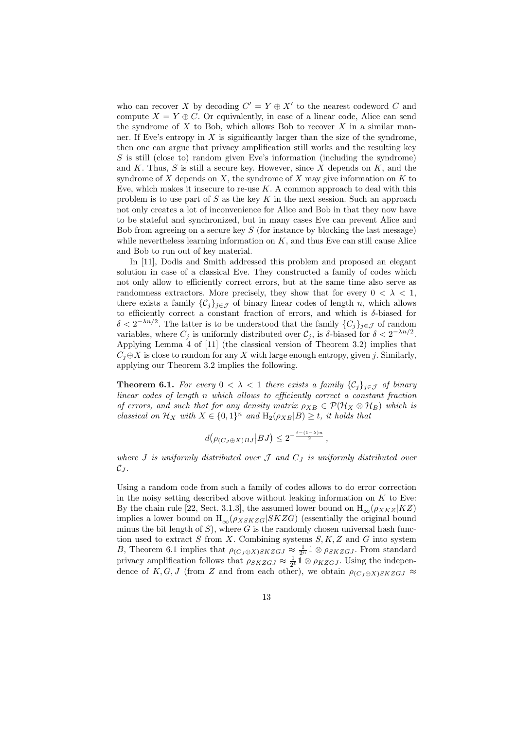who can recover X by decoding  $C' = Y \oplus X'$  to the nearest codeword C and compute  $X = Y \oplus C$ . Or equivalently, in case of a linear code, Alice can send the syndrome of  $X$  to Bob, which allows Bob to recover  $X$  in a similar manner. If Eve's entropy in  $X$  is significantly larger than the size of the syndrome, then one can argue that privacy amplification still works and the resulting key S is still (close to) random given Eve's information (including the syndrome) and  $K$ . Thus,  $S$  is still a secure key. However, since  $X$  depends on  $K$ , and the syndrome of X depends on X, the syndrome of X may give information on K to Eve, which makes it insecure to re-use  $K$ . A common approach to deal with this problem is to use part of S as the key K in the next session. Such an approach not only creates a lot of inconvenience for Alice and Bob in that they now have to be stateful and synchronized, but in many cases Eve can prevent Alice and Bob from agreeing on a secure key  $S$  (for instance by blocking the last message) while nevertheless learning information on  $K$ , and thus Eve can still cause Alice and Bob to run out of key material.

In [11], Dodis and Smith addressed this problem and proposed an elegant solution in case of a classical Eve. They constructed a family of codes which not only allow to efficiently correct errors, but at the same time also serve as randomness extractors. More precisely, they show that for every  $0 < \lambda < 1$ , there exists a family  $\{\mathcal{C}_j\}_{j\in\mathcal{J}}$  of binary linear codes of length n, which allows to efficiently correct a constant fraction of errors, and which is  $\delta$ -biased for  $\delta < 2^{-\lambda n/2}$ . The latter is to be understood that the family  $\{C_j\}_{j\in\mathcal{J}}$  of random variables, where  $C_j$  is uniformly distributed over  $C_j$ , is  $\delta$ -biased for  $\delta < 2^{-\lambda n/2}$ . Applying Lemma 4 of [11] (the classical version of Theorem 3.2) implies that  $C_i \oplus X$  is close to random for any X with large enough entropy, given j. Similarly, applying our Theorem 3.2 implies the following.

**Theorem 6.1.** For every  $0 < \lambda < 1$  there exists a family  $\{C_i\}_{i \in \mathcal{J}}$  of binary linear codes of length n which allows to efficiently correct a constant fraction of errors, and such that for any density matrix  $\rho_{XB} \in \mathcal{P}(\mathcal{H}_X \otimes \mathcal{H}_B)$  which is classical on  $\mathcal{H}_X$  with  $X \in \{0,1\}^n$  and  $H_2(\rho_{XB}|B) \geq t$ , it holds that

$$
d(\rho_{(C_J \oplus X)BJ}|BJ) \leq 2^{-\frac{t-(1-\lambda)n}{2}},
$$

where  $J$  is uniformly distributed over  $J$  and  $C_J$  is uniformly distributed over  $\mathcal{C}_J$ .

Using a random code from such a family of codes allows to do error correction in the noisy setting described above without leaking information on  $K$  to Eve: By the chain rule [22, Sect. 3.1.3], the assumed lower bound on  $H_{\infty}(\rho_{XKZ}|KZ)$ implies a lower bound on  $H_{\infty}(\rho_{XSKZG}|SKZG)$  (essentially the original bound minus the bit length of  $S$ ), where  $G$  is the randomly chosen universal hash function used to extract  $S$  from  $X$ . Combining systems  $S, K, Z$  and  $G$  into system B, Theorem 6.1 implies that  $\rho_{(C_J \oplus X)SKZGJ} \approx \frac{1}{2^n} \mathbb{1} \otimes \rho_{SKZGJ}$ . From standard privacy amplification follows that  $\rho_{SKZGJ} \approx \frac{1}{2^{\ell}} \mathbb{I} \otimes \rho_{KZGJ}$ . Using the independence of K, G, J (from Z and from each other), we obtain  $\rho_{(C_J\oplus X)SKZGJ} \approx$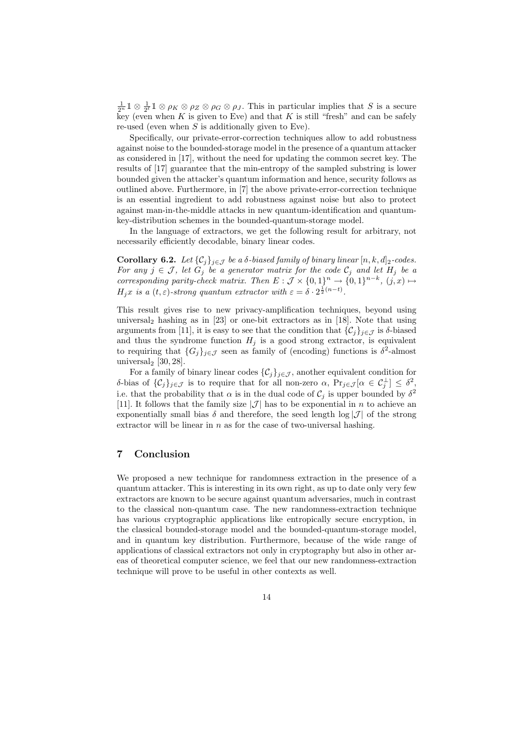$\frac{1}{2^n} \mathbb{1} \otimes \frac{1}{2^{\ell}} \mathbb{1} \otimes \rho_K \otimes \rho_Z \otimes \rho_G \otimes \rho_J$ . This in particular implies that S is a secure key (even when  $K$  is given to Eve) and that  $K$  is still "fresh" and can be safely re-used (even when  $S$  is additionally given to Eve).

Specifically, our private-error-correction techniques allow to add robustness against noise to the bounded-storage model in the presence of a quantum attacker as considered in [17], without the need for updating the common secret key. The results of [17] guarantee that the min-entropy of the sampled substring is lower bounded given the attacker's quantum information and hence, security follows as outlined above. Furthermore, in [7] the above private-error-correction technique is an essential ingredient to add robustness against noise but also to protect against man-in-the-middle attacks in new quantum-identification and quantumkey-distribution schemes in the bounded-quantum-storage model.

In the language of extractors, we get the following result for arbitrary, not necessarily efficiently decodable, binary linear codes.

**Corollary 6.2.** Let  $\{\mathcal{C}_j\}_{j\in\mathcal{J}}$  be a  $\delta$ -biased family of binary linear  $[n, k, d]_2$ -codes. For any  $j \in \mathcal{J}$ , let  $G_j$  be a generator matrix for the code  $\mathcal{C}_j$  and let  $H_j$  be a corresponding parity-check matrix. Then  $E: \mathcal{J} \times \{0,1\}^n \to \{0,1\}^{n-k}, (j,x) \mapsto$  $H_jx$  is a  $(t, \varepsilon)$ -strong quantum extractor with  $\varepsilon = \delta \cdot 2^{\frac{1}{2}(n-t)}$ .

This result gives rise to new privacy-amplification techniques, beyond using universal<sub>2</sub> hashing as in  $[23]$  or one-bit extractors as in  $[18]$ . Note that using arguments from [11], it is easy to see that the condition that  $\{\mathcal{C}_i\}_{i\in\mathcal{J}}$  is  $\delta$ -biased and thus the syndrome function  $H_j$  is a good strong extractor, is equivalent to requiring that  $\{G_j\}_{j\in\mathcal{J}}$  seen as family of (encoding) functions is  $\delta^2$ -almost universal $_2$  [30, 28].

For a family of binary linear codes  $\{\mathcal{C}_j\}_{j\in\mathcal{J}}$ , another equivalent condition for δ-bias of  $\{\mathcal{C}_j\}_{j\in\mathcal{J}}$  is to require that for all non-zero  $\alpha$ ,  $Pr_{j\in\mathcal{J}}[\alpha \in \mathcal{C}_j^{\perp}] \leq \delta^2$ , i.e. that the probability that  $\alpha$  is in the dual code of  $\mathcal{C}_j$  is upper bounded by  $\delta^2$ [11]. It follows that the family size  $|\mathcal{J}|$  has to be exponential in n to achieve an exponentially small bias  $\delta$  and therefore, the seed length  $\log |\mathcal{J}|$  of the strong extractor will be linear in  $n$  as for the case of two-universal hashing.

# 7 Conclusion

We proposed a new technique for randomness extraction in the presence of a quantum attacker. This is interesting in its own right, as up to date only very few extractors are known to be secure against quantum adversaries, much in contrast to the classical non-quantum case. The new randomness-extraction technique has various cryptographic applications like entropically secure encryption, in the classical bounded-storage model and the bounded-quantum-storage model, and in quantum key distribution. Furthermore, because of the wide range of applications of classical extractors not only in cryptography but also in other areas of theoretical computer science, we feel that our new randomness-extraction technique will prove to be useful in other contexts as well.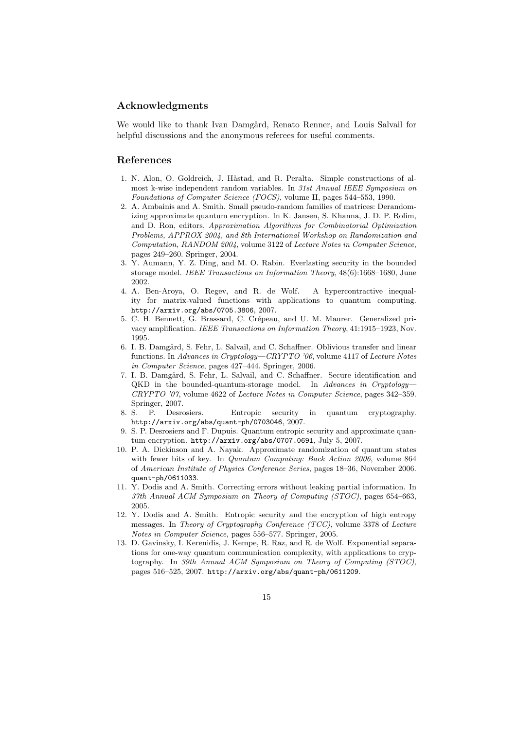# Acknowledgments

We would like to thank Ivan Damgård, Renato Renner, and Louis Salvail for helpful discussions and the anonymous referees for useful comments.

# References

- 1. N. Alon, O. Goldreich, J. Håstad, and R. Peralta. Simple constructions of almost k-wise independent random variables. In 31st Annual IEEE Symposium on Foundations of Computer Science (FOCS), volume II, pages 544–553, 1990.
- 2. A. Ambainis and A. Smith. Small pseudo-random families of matrices: Derandomizing approximate quantum encryption. In K. Jansen, S. Khanna, J. D. P. Rolim, and D. Ron, editors, Approximation Algorithms for Combinatorial Optimization Problems, APPROX 2004, and 8th International Workshop on Randomization and Computation, RANDOM 2004, volume 3122 of Lecture Notes in Computer Science, pages 249–260. Springer, 2004.
- 3. Y. Aumann, Y. Z. Ding, and M. O. Rabin. Everlasting security in the bounded storage model. IEEE Transactions on Information Theory, 48(6):1668–1680, June 2002.
- 4. A. Ben-Aroya, O. Regev, and R. de Wolf. A hypercontractive inequality for matrix-valued functions with applications to quantum computing. http://arxiv.org/abs/0705.3806, 2007.
- 5. C. H. Bennett, G. Brassard, C. Crépeau, and U. M. Maurer. Generalized privacy amplification. IEEE Transactions on Information Theory, 41:1915–1923, Nov. 1995.
- 6. I. B. Damgård, S. Fehr, L. Salvail, and C. Schaffner. Oblivious transfer and linear functions. In Advances in Cryptology—CRYPTO '06, volume 4117 of Lecture Notes in Computer Science, pages 427–444. Springer, 2006.
- 7. I. B. Damgård, S. Fehr, L. Salvail, and C. Schaffner. Secure identification and QKD in the bounded-quantum-storage model. In Advances in Cryptology-CRYPTO '07, volume 4622 of Lecture Notes in Computer Science, pages 342–359. Springer, 2007.
- 8. S. P. Desrosiers. Entropic security in quantum cryptography. http://arxiv.org/abs/quant-ph/0703046, 2007.
- 9. S. P. Desrosiers and F. Dupuis. Quantum entropic security and approximate quantum encryption. http://arxiv.org/abs/0707.0691, July 5, 2007.
- 10. P. A. Dickinson and A. Nayak. Approximate randomization of quantum states with fewer bits of key. In Quantum Computing: Back Action 2006, volume 864 of American Institute of Physics Conference Series, pages 18–36, November 2006. quant-ph/0611033.
- 11. Y. Dodis and A. Smith. Correcting errors without leaking partial information. In 37th Annual ACM Symposium on Theory of Computing (STOC), pages 654–663, 2005.
- 12. Y. Dodis and A. Smith. Entropic security and the encryption of high entropy messages. In Theory of Cryptography Conference (TCC), volume 3378 of Lecture Notes in Computer Science, pages 556–577. Springer, 2005.
- 13. D. Gavinsky, I. Kerenidis, J. Kempe, R. Raz, and R. de Wolf. Exponential separations for one-way quantum communication complexity, with applications to cryptography. In 39th Annual ACM Symposium on Theory of Computing (STOC), pages 516–525, 2007. http://arxiv.org/abs/quant-ph/0611209.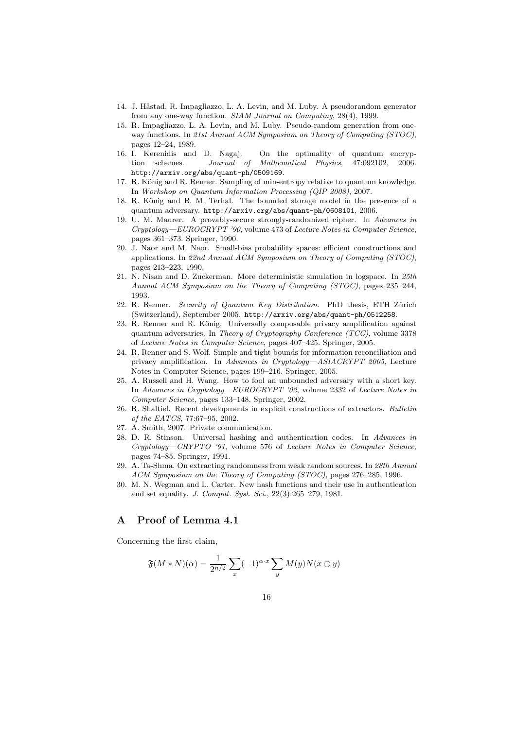- 14. J. Håstad, R. Impagliazzo, L. A. Levin, and M. Luby. A pseudorandom generator from any one-way function. SIAM Journal on Computing, 28(4), 1999.
- 15. R. Impagliazzo, L. A. Levin, and M. Luby. Pseudo-random generation from oneway functions. In 21st Annual ACM Symposium on Theory of Computing (STOC), pages 12–24, 1989.
- 16. I. Kerenidis and D. Nagaj. On the optimality of quantum encryption schemes. Journal of Mathematical Physics, 47:092102, 2006. http://arxiv.org/abs/quant-ph/0509169.
- 17. R. König and R. Renner. Sampling of min-entropy relative to quantum knowledge. In Workshop on Quantum Information Processing (QIP 2008), 2007.
- 18. R. König and B. M. Terhal. The bounded storage model in the presence of a quantum adversary. http://arxiv.org/abs/quant-ph/0608101, 2006.
- 19. U. M. Maurer. A provably-secure strongly-randomized cipher. In Advances in Cryptology—EUROCRYPT '90, volume 473 of Lecture Notes in Computer Science, pages 361–373. Springer, 1990.
- 20. J. Naor and M. Naor. Small-bias probability spaces: efficient constructions and applications. In 22nd Annual ACM Symposium on Theory of Computing (STOC), pages 213–223, 1990.
- 21. N. Nisan and D. Zuckerman. More deterministic simulation in logspace. In 25th Annual ACM Symposium on the Theory of Computing (STOC), pages 235–244, 1993.
- 22. R. Renner. Security of Quantum Key Distribution. PhD thesis, ETH Zürich (Switzerland), September 2005. http://arxiv.org/abs/quant-ph/0512258.
- 23. R. Renner and R. König. Universally composable privacy amplification against quantum adversaries. In Theory of Cryptography Conference (TCC), volume 3378 of Lecture Notes in Computer Science, pages 407–425. Springer, 2005.
- 24. R. Renner and S. Wolf. Simple and tight bounds for information reconciliation and privacy amplification. In Advances in Cryptology—ASIACRYPT 2005, Lecture Notes in Computer Science, pages 199–216. Springer, 2005.
- 25. A. Russell and H. Wang. How to fool an unbounded adversary with a short key. In Advances in Cryptology—EUROCRYPT '02, volume 2332 of Lecture Notes in Computer Science, pages 133–148. Springer, 2002.
- 26. R. Shaltiel. Recent developments in explicit constructions of extractors. Bulletin of the EATCS, 77:67–95, 2002.
- 27. A. Smith, 2007. Private communication.
- 28. D. R. Stinson. Universal hashing and authentication codes. In Advances in Cryptology—CRYPTO '91, volume 576 of Lecture Notes in Computer Science, pages 74–85. Springer, 1991.
- 29. A. Ta-Shma. On extracting randomness from weak random sources. In 28th Annual ACM Symposium on the Theory of Computing (STOC), pages 276–285, 1996.
- 30. M. N. Wegman and L. Carter. New hash functions and their use in authentication and set equality. J. Comput. Syst. Sci., 22(3):265–279, 1981.

# A Proof of Lemma 4.1

Concerning the first claim,

$$
\mathfrak{F}(M*N)(\alpha) = \frac{1}{2^{n/2}} \sum_{x} (-1)^{\alpha \cdot x} \sum_{y} M(y) N(x \oplus y)
$$